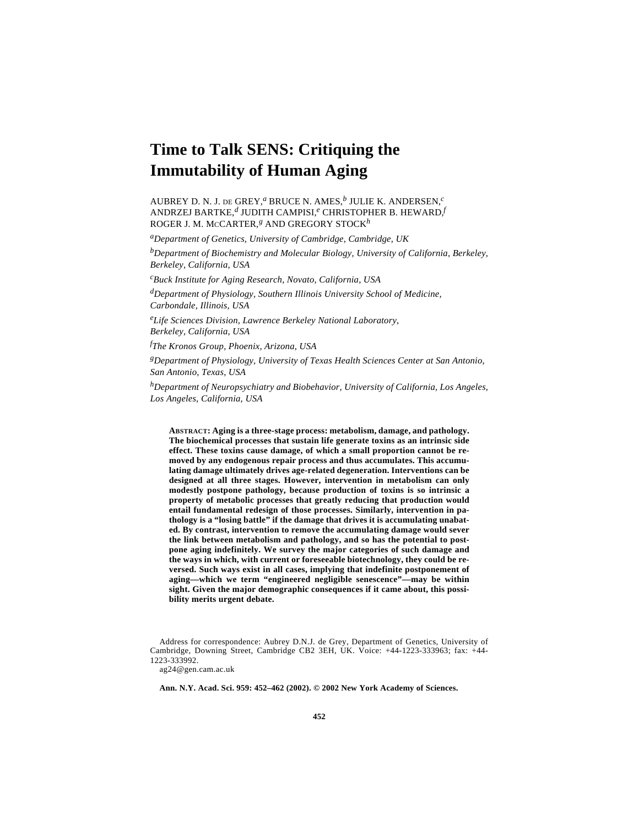# **Time to Talk SENS: Critiquing the Immutability of Human Aging**

AUBREY D. N. J. DE GREY,*<sup>a</sup>* BRUCE N. AMES,*<sup>b</sup>* JULIE K. ANDERSEN,*<sup>c</sup>* ANDRZEJ BARTKE,*<sup>d</sup>* JUDITH CAMPISI,*<sup>e</sup>* CHRISTOPHER B. HEWARD,*<sup>f</sup>* ROGER J. M. MCCARTER,*<sup>g</sup>* AND GREGORY STOCK*<sup>h</sup>*

*<sup>a</sup>Department of Genetics, University of Cambridge, Cambridge, UK*

*<sup>b</sup>Department of Biochemistry and Molecular Biology, University of California, Berkeley, Berkeley, California, USA*

*<sup>c</sup>Buck Institute for Aging Research, Novato, California, USA*

*<sup>d</sup>Department of Physiology, Southern Illinois University School of Medicine, Carbondale, Illinois, USA*

*<sup>e</sup>Life Sciences Division, Lawrence Berkeley National Laboratory, Berkeley, California, USA*

*<sup>f</sup>The Kronos Group, Phoenix, Arizona, USA*

*<sup>g</sup>Department of Physiology, University of Texas Health Sciences Center at San Antonio, San Antonio, Texas, USA*

*<sup>h</sup>Department of Neuropsychiatry and Biobehavior, University of California, Los Angeles, Los Angeles, California, USA*

**ABSTRACT: Aging is a three-stage process: metabolism, damage, and pathology. The biochemical processes that sustain life generate toxins as an intrinsic side effect. These toxins cause damage, of which a small proportion cannot be removed by any endogenous repair process and thus accumulates. This accumulating damage ultimately drives age-related degeneration. Interventions can be designed at all three stages. However, intervention in metabolism can only modestly postpone pathology, because production of toxins is so intrinsic a property of metabolic processes that greatly reducing that production would entail fundamental redesign of those processes. Similarly, intervention in pathology is a "losing battle" if the damage that drives it is accumulating unabated. By contrast, intervention to remove the accumulating damage would sever the link between metabolism and pathology, and so has the potential to postpone aging indefinitely. We survey the major categories of such damage and the ways in which, with current or foreseeable biotechnology, they could be reversed. Such ways exist in all cases, implying that indefinite postponement of aging—which we term "engineered negligible senescence"—may be within sight. Given the major demographic consequences if it came about, this possibility merits urgent debate.**

ag24@gen.cam.ac.uk

**Ann. N.Y. Acad. Sci. 959: 452–462 (2002). © 2002 New York Academy of Sciences.**

Address for correspondence: Aubrey D.N.J. de Grey, Department of Genetics, University of Cambridge, Downing Street, Cambridge CB2 3EH, UK. Voice: +44-1223-333963; fax: +44- 1223-333992.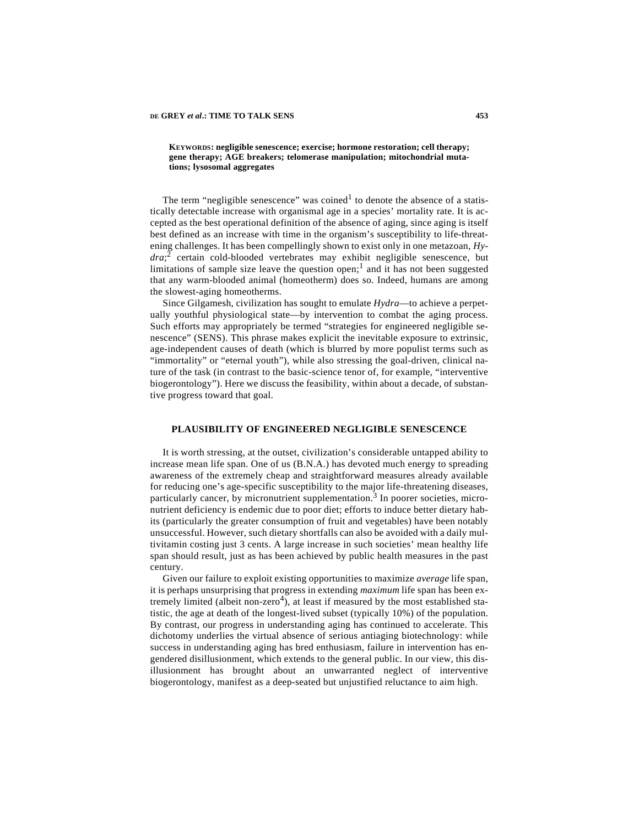**KEYWORDS: negligible senescence; exercise; hormone restoration; cell therapy; gene therapy; AGE breakers; telomerase manipulation; mitochondrial mutations; lysosomal aggregates**

The term "negligible senescence" was coined<sup>1</sup> to denote the absence of a statistically detectable increase with organismal age in a species' mortality rate. It is accepted as the best operational definition of the absence of aging, since aging is itself best defined as an increase with time in the organism's susceptibility to life-threatening challenges. It has been compellingly shown to exist only in one metazoan, *Hy* $dra$ <sup>2</sup> certain cold-blooded vertebrates may exhibit negligible senescence, but limitations of sample size leave the question open;<sup>1</sup> and it has not been suggested that any warm-blooded animal (homeotherm) does so. Indeed, humans are among the slowest-aging homeotherms.

Since Gilgamesh, civilization has sought to emulate *Hydra*—to achieve a perpetually youthful physiological state—by intervention to combat the aging process. Such efforts may appropriately be termed "strategies for engineered negligible senescence" (SENS). This phrase makes explicit the inevitable exposure to extrinsic, age-independent causes of death (which is blurred by more populist terms such as "immortality" or "eternal youth"), while also stressing the goal-driven, clinical nature of the task (in contrast to the basic-science tenor of, for example, "interventive biogerontology"). Here we discuss the feasibility, within about a decade, of substantive progress toward that goal.

## **PLAUSIBILITY OF ENGINEERED NEGLIGIBLE SENESCENCE**

It is worth stressing, at the outset, civilization's considerable untapped ability to increase mean life span. One of us (B.N.A.) has devoted much energy to spreading awareness of the extremely cheap and straightforward measures already available for reducing one's age-specific susceptibility to the major life-threatening diseases, particularly cancer, by micronutrient supplementation.<sup>3</sup> In poorer societies, micronutrient deficiency is endemic due to poor diet; efforts to induce better dietary habits (particularly the greater consumption of fruit and vegetables) have been notably unsuccessful. However, such dietary shortfalls can also be avoided with a daily multivitamin costing just 3 cents. A large increase in such societies' mean healthy life span should result, just as has been achieved by public health measures in the past century.

Given our failure to exploit existing opportunities to maximize *average* life span, it is perhaps unsurprising that progress in extending *maximum* life span has been extremely limited (albeit non-zero<sup>4</sup>), at least if measured by the most established statistic, the age at death of the longest-lived subset (typically 10%) of the population. By contrast, our progress in understanding aging has continued to accelerate. This dichotomy underlies the virtual absence of serious antiaging biotechnology: while success in understanding aging has bred enthusiasm, failure in intervention has engendered disillusionment, which extends to the general public. In our view, this disillusionment has brought about an unwarranted neglect of interventive biogerontology, manifest as a deep-seated but unjustified reluctance to aim high.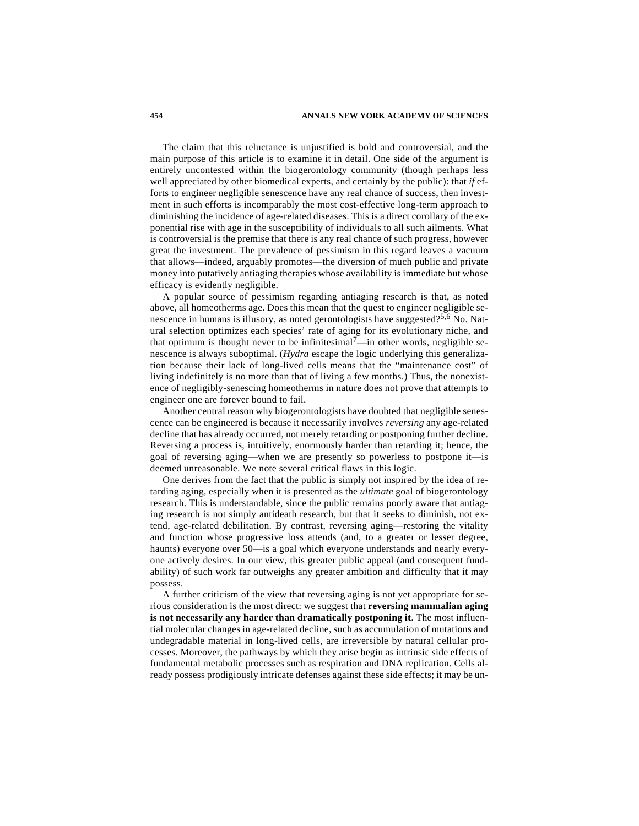#### **454 ANNALS NEW YORK ACADEMY OF SCIENCES**

The claim that this reluctance is unjustified is bold and controversial, and the main purpose of this article is to examine it in detail. One side of the argument is entirely uncontested within the biogerontology community (though perhaps less well appreciated by other biomedical experts, and certainly by the public): that *if* efforts to engineer negligible senescence have any real chance of success, then investment in such efforts is incomparably the most cost-effective long-term approach to diminishing the incidence of age-related diseases. This is a direct corollary of the exponential rise with age in the susceptibility of individuals to all such ailments. What is controversial is the premise that there is any real chance of such progress, however great the investment. The prevalence of pessimism in this regard leaves a vacuum that allows—indeed, arguably promotes—the diversion of much public and private money into putatively antiaging therapies whose availability is immediate but whose efficacy is evidently negligible.

A popular source of pessimism regarding antiaging research is that, as noted above, all homeotherms age. Does this mean that the quest to engineer negligible senescence in humans is illusory, as noted gerontologists have suggested?<sup>5,6</sup> No. Natural selection optimizes each species' rate of aging for its evolutionary niche, and that optimum is thought never to be infinitesimal<sup>7</sup>—in other words, negligible senescence is always suboptimal. (*Hydra* escape the logic underlying this generalization because their lack of long-lived cells means that the "maintenance cost" of living indefinitely is no more than that of living a few months.) Thus, the nonexistence of negligibly-senescing homeotherms in nature does not prove that attempts to engineer one are forever bound to fail.

Another central reason why biogerontologists have doubted that negligible senescence can be engineered is because it necessarily involves *reversing* any age-related decline that has already occurred, not merely retarding or postponing further decline. Reversing a process is, intuitively, enormously harder than retarding it; hence, the goal of reversing aging—when we are presently so powerless to postpone it—is deemed unreasonable. We note several critical flaws in this logic.

One derives from the fact that the public is simply not inspired by the idea of retarding aging, especially when it is presented as the *ultimate* goal of biogerontology research. This is understandable, since the public remains poorly aware that antiaging research is not simply antideath research, but that it seeks to diminish, not extend, age-related debilitation. By contrast, reversing aging—restoring the vitality and function whose progressive loss attends (and, to a greater or lesser degree, haunts) everyone over 50—is a goal which everyone understands and nearly everyone actively desires. In our view, this greater public appeal (and consequent fundability) of such work far outweighs any greater ambition and difficulty that it may possess.

A further criticism of the view that reversing aging is not yet appropriate for serious consideration is the most direct: we suggest that **reversing mammalian aging is not necessarily any harder than dramatically postponing it**. The most influential molecular changes in age-related decline, such as accumulation of mutations and undegradable material in long-lived cells, are irreversible by natural cellular processes. Moreover, the pathways by which they arise begin as intrinsic side effects of fundamental metabolic processes such as respiration and DNA replication. Cells already possess prodigiously intricate defenses against these side effects; it may be un-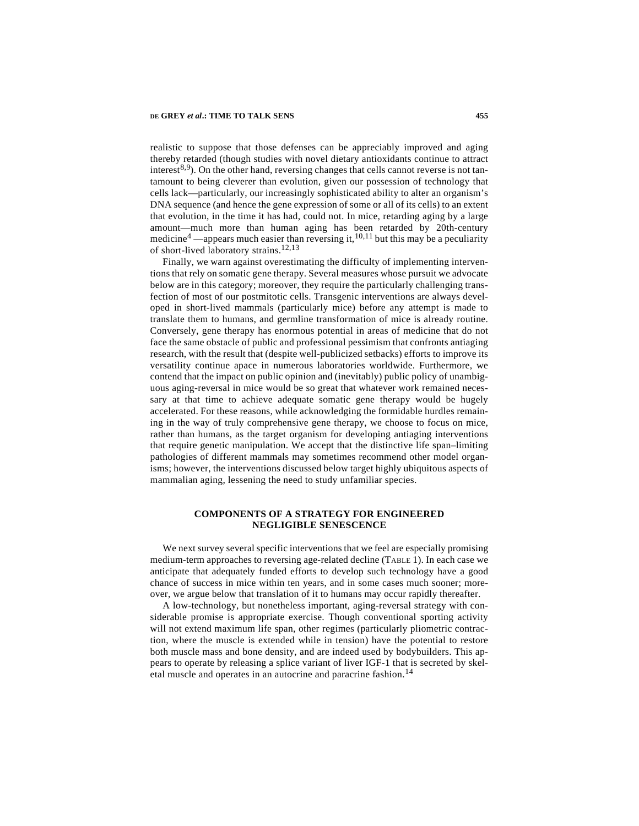### **DE GREY** *et al***.: TIME TO TALK SENS 455**

realistic to suppose that those defenses can be appreciably improved and aging thereby retarded (though studies with novel dietary antioxidants continue to attract interest $8,9$ ). On the other hand, reversing changes that cells cannot reverse is not tantamount to being cleverer than evolution, given our possession of technology that cells lack—particularly, our increasingly sophisticated ability to alter an organism's DNA sequence (and hence the gene expression of some or all of its cells) to an extent that evolution, in the time it has had, could not. In mice, retarding aging by a large amount—much more than human aging has been retarded by 20th-century medicine<sup>4</sup> —appears much easier than reversing it,  $10,11$  but this may be a peculiarity of short-lived laboratory strains.<sup>12,13</sup>

Finally, we warn against overestimating the difficulty of implementing interventions that rely on somatic gene therapy. Several measures whose pursuit we advocate below are in this category; moreover, they require the particularly challenging transfection of most of our postmitotic cells. Transgenic interventions are always developed in short-lived mammals (particularly mice) before any attempt is made to translate them to humans, and germline transformation of mice is already routine. Conversely, gene therapy has enormous potential in areas of medicine that do not face the same obstacle of public and professional pessimism that confronts antiaging research, with the result that (despite well-publicized setbacks) efforts to improve its versatility continue apace in numerous laboratories worldwide. Furthermore, we contend that the impact on public opinion and (inevitably) public policy of unambiguous aging-reversal in mice would be so great that whatever work remained necessary at that time to achieve adequate somatic gene therapy would be hugely accelerated. For these reasons, while acknowledging the formidable hurdles remaining in the way of truly comprehensive gene therapy, we choose to focus on mice, rather than humans, as the target organism for developing antiaging interventions that require genetic manipulation. We accept that the distinctive life span–limiting pathologies of different mammals may sometimes recommend other model organisms; however, the interventions discussed below target highly ubiquitous aspects of mammalian aging, lessening the need to study unfamiliar species.

## **COMPONENTS OF A STRATEGY FOR ENGINEERED NEGLIGIBLE SENESCENCE**

We next survey several specific interventions that we feel are especially promising medium-term approaches to reversing age-related decline (TABLE 1). In each case we anticipate that adequately funded efforts to develop such technology have a good chance of success in mice within ten years, and in some cases much sooner; moreover, we argue below that translation of it to humans may occur rapidly thereafter.

A low-technology, but nonetheless important, aging-reversal strategy with considerable promise is appropriate exercise. Though conventional sporting activity will not extend maximum life span, other regimes (particularly pliometric contraction, where the muscle is extended while in tension) have the potential to restore both muscle mass and bone density, and are indeed used by bodybuilders. This appears to operate by releasing a splice variant of liver IGF-1 that is secreted by skeletal muscle and operates in an autocrine and paracrine fashion.<sup>14</sup>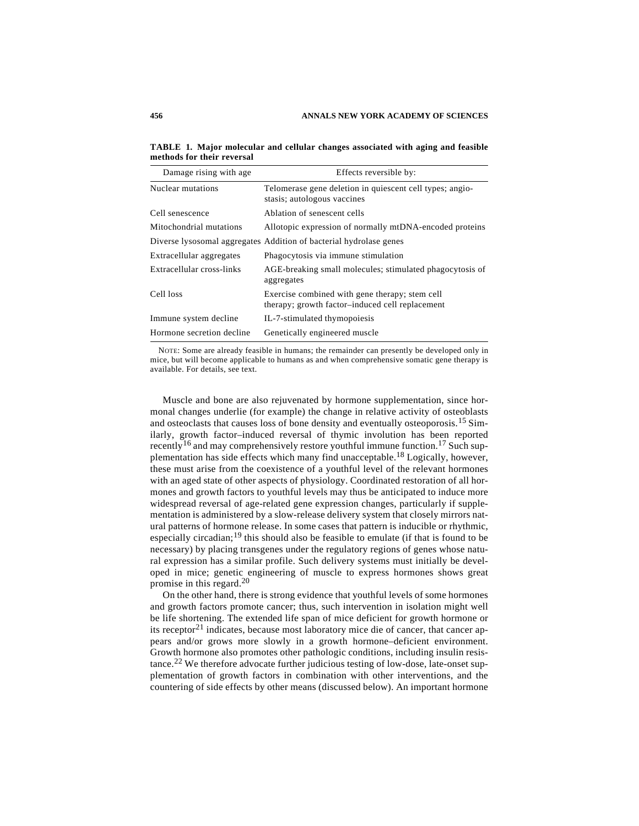**TABLE 1. Major molecular and cellular changes associated with aging and feasible methods for their reversal**

| Damage rising with age    | Effects reversible by:                                                                            |
|---------------------------|---------------------------------------------------------------------------------------------------|
| Nuclear mutations         | Telomerase gene deletion in quiescent cell types; angio-<br>stasis; autologous vaccines           |
| Cell senescence           | Ablation of senescent cells                                                                       |
| Mitochondrial mutations   | Allotopic expression of normally mtDNA-encoded proteins                                           |
|                           | Diverse lysosomal aggregates Addition of bacterial hydrolase genes                                |
| Extracellular aggregates  | Phagocytosis via immune stimulation                                                               |
| Extracellular cross-links | AGE-breaking small molecules; stimulated phagocytosis of<br>aggregates                            |
| Cell loss                 | Exercise combined with gene therapy; stem cell<br>therapy; growth factor-induced cell replacement |
| Immune system decline     | IL-7-stimulated thymopoiesis                                                                      |
| Hormone secretion decline | Genetically engineered muscle                                                                     |

NOTE: Some are already feasible in humans; the remainder can presently be developed only in mice, but will become applicable to humans as and when comprehensive somatic gene therapy is available. For details, see text.

Muscle and bone are also rejuvenated by hormone supplementation, since hormonal changes underlie (for example) the change in relative activity of osteoblasts and osteoclasts that causes loss of bone density and eventually osteoporosis.15 Similarly, growth factor–induced reversal of thymic involution has been reported recently<sup>16</sup> and may comprehensively restore youthful immune function.<sup>17</sup> Such supplementation has side effects which many find unacceptable.18 Logically, however, these must arise from the coexistence of a youthful level of the relevant hormones with an aged state of other aspects of physiology. Coordinated restoration of all hormones and growth factors to youthful levels may thus be anticipated to induce more widespread reversal of age-related gene expression changes, particularly if supplementation is administered by a slow-release delivery system that closely mirrors natural patterns of hormone release. In some cases that pattern is inducible or rhythmic, especially circadian;<sup>19</sup> this should also be feasible to emulate (if that is found to be necessary) by placing transgenes under the regulatory regions of genes whose natural expression has a similar profile. Such delivery systems must initially be developed in mice; genetic engineering of muscle to express hormones shows great promise in this regard. $20$ 

On the other hand, there is strong evidence that youthful levels of some hormones and growth factors promote cancer; thus, such intervention in isolation might well be life shortening. The extended life span of mice deficient for growth hormone or its receptor<sup>21</sup> indicates, because most laboratory mice die of cancer, that cancer appears and/or grows more slowly in a growth hormone–deficient environment. Growth hormone also promotes other pathologic conditions, including insulin resis $t$ ance.<sup>22</sup> We therefore advocate further judicious testing of low-dose, late-onset supplementation of growth factors in combination with other interventions, and the countering of side effects by other means (discussed below). An important hormone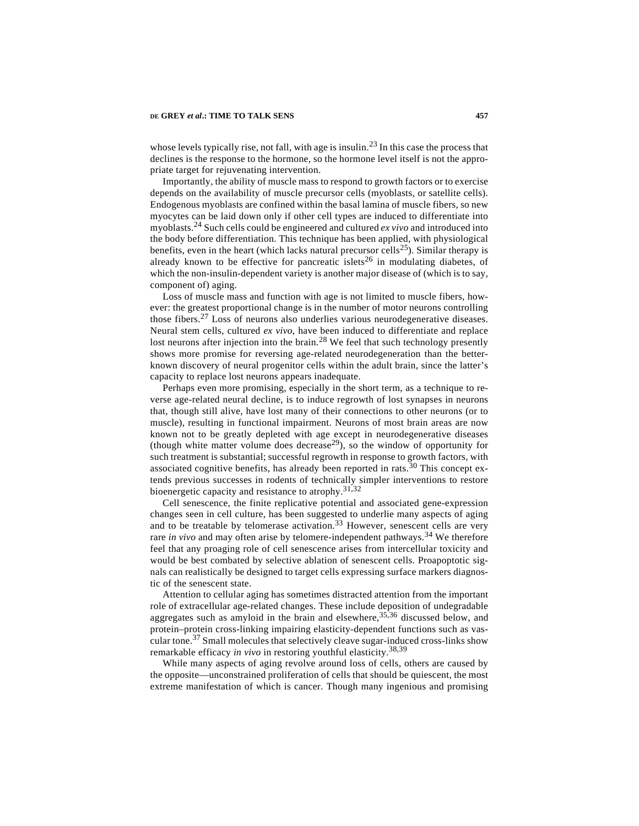whose levels typically rise, not fall, with age is insulin.<sup>23</sup> In this case the process that declines is the response to the hormone, so the hormone level itself is not the appropriate target for rejuvenating intervention.

Importantly, the ability of muscle mass to respond to growth factors or to exercise depends on the availability of muscle precursor cells (myoblasts, or satellite cells). Endogenous myoblasts are confined within the basal lamina of muscle fibers, so new myocytes can be laid down only if other cell types are induced to differentiate into myoblasts.24 Such cells could be engineered and cultured *ex vivo* and introduced into the body before differentiation. This technique has been applied, with physiological benefits, even in the heart (which lacks natural precursor cells<sup>25</sup>). Similar therapy is already known to be effective for pancreatic islets<sup>26</sup> in modulating diabetes, of which the non-insulin-dependent variety is another major disease of (which is to say, component of) aging.

Loss of muscle mass and function with age is not limited to muscle fibers, however: the greatest proportional change is in the number of motor neurons controlling those fibers.27 Loss of neurons also underlies various neurodegenerative diseases. Neural stem cells, cultured *ex vivo*, have been induced to differentiate and replace lost neurons after injection into the brain.<sup>28</sup> We feel that such technology presently shows more promise for reversing age-related neurodegeneration than the betterknown discovery of neural progenitor cells within the adult brain, since the latter's capacity to replace lost neurons appears inadequate.

Perhaps even more promising, especially in the short term, as a technique to reverse age-related neural decline, is to induce regrowth of lost synapses in neurons that, though still alive, have lost many of their connections to other neurons (or to muscle), resulting in functional impairment. Neurons of most brain areas are now known not to be greatly depleted with age except in neurodegenerative diseases (though white matter volume does decrease<sup>29</sup>), so the window of opportunity for such treatment is substantial; successful regrowth in response to growth factors, with associated cognitive benefits, has already been reported in rats.  $30$  This concept extends previous successes in rodents of technically simpler interventions to restore bioenergetic capacity and resistance to atrophy.31,32

Cell senescence, the finite replicative potential and associated gene-expression changes seen in cell culture, has been suggested to underlie many aspects of aging and to be treatable by telomerase activation.<sup>33</sup> However, senescent cells are very rare *in vivo* and may often arise by telomere-independent pathways.<sup>34</sup> We therefore feel that any proaging role of cell senescence arises from intercellular toxicity and would be best combated by selective ablation of senescent cells. Proapoptotic signals can realistically be designed to target cells expressing surface markers diagnostic of the senescent state.

Attention to cellular aging has sometimes distracted attention from the important role of extracellular age-related changes. These include deposition of undegradable aggregates such as amyloid in the brain and elsewhere,<sup>35,36</sup> discussed below, and protein–protein cross-linking impairing elasticity-dependent functions such as vascular tone.<sup>37</sup> Small molecules that selectively cleave sugar-induced cross-links show remarkable efficacy *in vivo* in restoring youthful elasticity.38,39

While many aspects of aging revolve around loss of cells, others are caused by the opposite—unconstrained proliferation of cells that should be quiescent, the most extreme manifestation of which is cancer. Though many ingenious and promising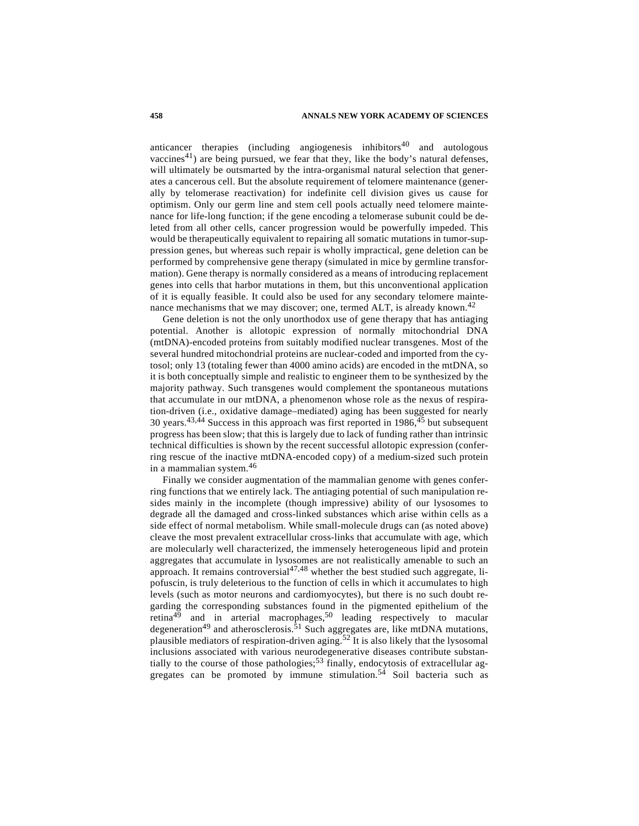anticancer therapies (including angiogenesis inhibitors<sup>40</sup> and autologous vaccines<sup>41</sup>) are being pursued, we fear that they, like the body's natural defenses, will ultimately be outsmarted by the intra-organismal natural selection that generates a cancerous cell. But the absolute requirement of telomere maintenance (generally by telomerase reactivation) for indefinite cell division gives us cause for optimism. Only our germ line and stem cell pools actually need telomere maintenance for life-long function; if the gene encoding a telomerase subunit could be deleted from all other cells, cancer progression would be powerfully impeded. This would be therapeutically equivalent to repairing all somatic mutations in tumor-suppression genes, but whereas such repair is wholly impractical, gene deletion can be performed by comprehensive gene therapy (simulated in mice by germline transformation). Gene therapy is normally considered as a means of introducing replacement genes into cells that harbor mutations in them, but this unconventional application of it is equally feasible. It could also be used for any secondary telomere maintenance mechanisms that we may discover; one, termed ALT, is already known.<sup>42</sup>

Gene deletion is not the only unorthodox use of gene therapy that has antiaging potential. Another is allotopic expression of normally mitochondrial DNA (mtDNA)-encoded proteins from suitably modified nuclear transgenes. Most of the several hundred mitochondrial proteins are nuclear-coded and imported from the cytosol; only 13 (totaling fewer than 4000 amino acids) are encoded in the mtDNA, so it is both conceptually simple and realistic to engineer them to be synthesized by the majority pathway. Such transgenes would complement the spontaneous mutations that accumulate in our mtDNA, a phenomenon whose role as the nexus of respiration-driven (i.e., oxidative damage–mediated) aging has been suggested for nearly 30 years. $43,44$  Success in this approach was first reported in 1986, $45$  but subsequent progress has been slow; that this is largely due to lack of funding rather than intrinsic technical difficulties is shown by the recent successful allotopic expression (conferring rescue of the inactive mtDNA-encoded copy) of a medium-sized such protein in a mammalian system.<sup>46</sup>

Finally we consider augmentation of the mammalian genome with genes conferring functions that we entirely lack. The antiaging potential of such manipulation resides mainly in the incomplete (though impressive) ability of our lysosomes to degrade all the damaged and cross-linked substances which arise within cells as a side effect of normal metabolism. While small-molecule drugs can (as noted above) cleave the most prevalent extracellular cross-links that accumulate with age, which are molecularly well characterized, the immensely heterogeneous lipid and protein aggregates that accumulate in lysosomes are not realistically amenable to such an approach. It remains controversial<sup>47,48</sup> whether the best studied such aggregate, lipofuscin, is truly deleterious to the function of cells in which it accumulates to high levels (such as motor neurons and cardiomyocytes), but there is no such doubt regarding the corresponding substances found in the pigmented epithelium of the retina<sup>49</sup> and in arterial macrophages,<sup>50</sup> leading respectively to macular degeneration<sup>49</sup> and atherosclerosis.<sup>51</sup> Such aggregates are, like mtDNA mutations, plausible mediators of respiration-driven aging.<sup>52</sup> It is also likely that the lysosomal inclusions associated with various neurodegenerative diseases contribute substantially to the course of those pathologies;<sup>53</sup> finally, endocytosis of extracellular aggregates can be promoted by immune stimulation.<sup>54</sup> Soil bacteria such as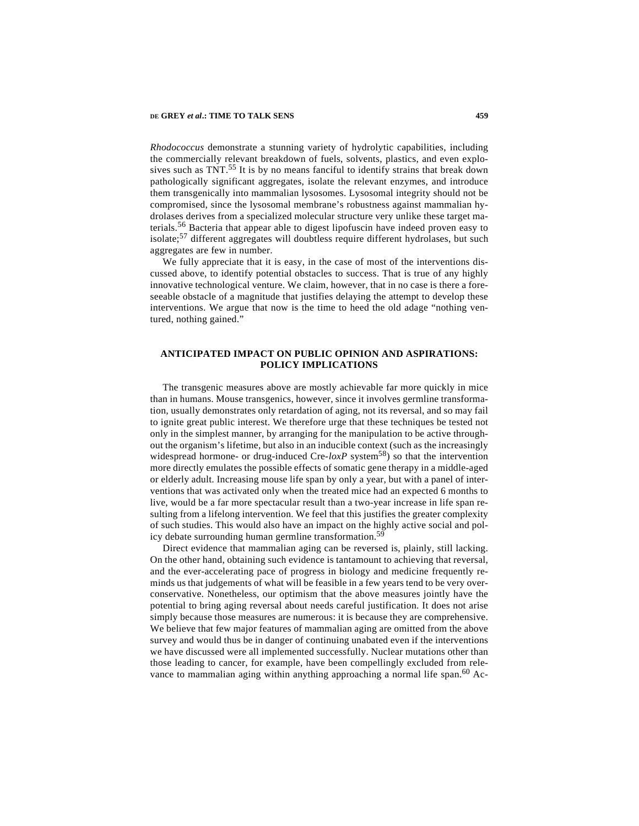#### **DE GREY** *et al***.: TIME TO TALK SENS 459**

*Rhodococcus* demonstrate a stunning variety of hydrolytic capabilities, including the commercially relevant breakdown of fuels, solvents, plastics, and even explosives such as TNT.<sup>55</sup> It is by no means fanciful to identify strains that break down pathologically significant aggregates, isolate the relevant enzymes, and introduce them transgenically into mammalian lysosomes. Lysosomal integrity should not be compromised, since the lysosomal membrane's robustness against mammalian hydrolases derives from a specialized molecular structure very unlike these target materials.56 Bacteria that appear able to digest lipofuscin have indeed proven easy to isolate;57 different aggregates will doubtless require different hydrolases, but such aggregates are few in number.

We fully appreciate that it is easy, in the case of most of the interventions discussed above, to identify potential obstacles to success. That is true of any highly innovative technological venture. We claim, however, that in no case is there a foreseeable obstacle of a magnitude that justifies delaying the attempt to develop these interventions. We argue that now is the time to heed the old adage "nothing ventured, nothing gained."

## **ANTICIPATED IMPACT ON PUBLIC OPINION AND ASPIRATIONS: POLICY IMPLICATIONS**

The transgenic measures above are mostly achievable far more quickly in mice than in humans. Mouse transgenics, however, since it involves germline transformation, usually demonstrates only retardation of aging, not its reversal, and so may fail to ignite great public interest. We therefore urge that these techniques be tested not only in the simplest manner, by arranging for the manipulation to be active throughout the organism's lifetime, but also in an inducible context (such as the increasingly widespread hormone- or drug-induced Cre-*loxP* system<sup>58</sup>) so that the intervention more directly emulates the possible effects of somatic gene therapy in a middle-aged or elderly adult. Increasing mouse life span by only a year, but with a panel of interventions that was activated only when the treated mice had an expected 6 months to live, would be a far more spectacular result than a two-year increase in life span resulting from a lifelong intervention. We feel that this justifies the greater complexity of such studies. This would also have an impact on the highly active social and policy debate surrounding human germline transformation.<sup>59</sup>

Direct evidence that mammalian aging can be reversed is, plainly, still lacking. On the other hand, obtaining such evidence is tantamount to achieving that reversal, and the ever-accelerating pace of progress in biology and medicine frequently reminds us that judgements of what will be feasible in a few years tend to be very overconservative. Nonetheless, our optimism that the above measures jointly have the potential to bring aging reversal about needs careful justification. It does not arise simply because those measures are numerous: it is because they are comprehensive. We believe that few major features of mammalian aging are omitted from the above survey and would thus be in danger of continuing unabated even if the interventions we have discussed were all implemented successfully. Nuclear mutations other than those leading to cancer, for example, have been compellingly excluded from relevance to mammalian aging within anything approaching a normal life span.<sup>60</sup> Ac-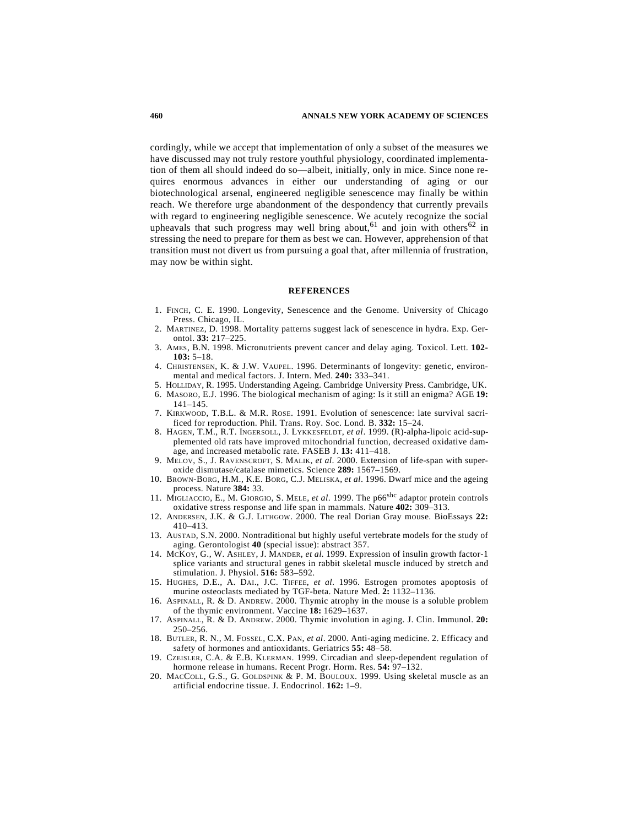cordingly, while we accept that implementation of only a subset of the measures we have discussed may not truly restore youthful physiology, coordinated implementation of them all should indeed do so—albeit, initially, only in mice. Since none requires enormous advances in either our understanding of aging or our biotechnological arsenal, engineered negligible senescence may finally be within reach. We therefore urge abandonment of the despondency that currently prevails with regard to engineering negligible senescence. We acutely recognize the social upheavals that such progress may well bring about,<sup>61</sup> and join with others<sup>62</sup> in stressing the need to prepare for them as best we can. However, apprehension of that transition must not divert us from pursuing a goal that, after millennia of frustration, may now be within sight.

#### **REFERENCES**

- 1. FINCH, C. E. 1990. Longevity, Senescence and the Genome. University of Chicago Press. Chicago, IL.
- 2. MARTINEZ, D. 1998. Mortality patterns suggest lack of senescence in hydra. Exp. Gerontol. **33:** 217–225.
- 3. AMES, B.N. 1998. Micronutrients prevent cancer and delay aging. Toxicol. Lett. **102- 103:** 5–18.
- 4. CHRISTENSEN, K. & J.W. VAUPEL. 1996. Determinants of longevity: genetic, environmental and medical factors. J. Intern. Med. **240:** 333–341.
- 5. HOLLIDAY, R. 1995. Understanding Ageing. Cambridge University Press. Cambridge, UK.
- 6. MASORO, E.J. 1996. The biological mechanism of aging: Is it still an enigma? AGE **19:** 141–145.
- 7. KIRKWOOD, T.B.L. & M.R. ROSE. 1991. Evolution of senescence: late survival sacrificed for reproduction. Phil. Trans. Roy. Soc. Lond. B. **332:** 15–24.
- 8. HAGEN, T.M., R.T. INGERSOLL, J. LYKKESFELDT, *et al*. 1999. (R)-alpha-lipoic acid-supplemented old rats have improved mitochondrial function, decreased oxidative damage, and increased metabolic rate. FASEB J. **13:** 411–418.
- 9. MELOV, S., J. RAVENSCROFT, S. MALIK, *et al*. 2000. Extension of life-span with superoxide dismutase/catalase mimetics. Science **289:** 1567–1569.
- 10. BROWN-BORG, H.M., K.E. BORG, C.J. MELISKA, *et al*. 1996. Dwarf mice and the ageing process. Nature **384:** 33.
- 11. MIGLIACCIO, E., M. GIORGIO, S. MELE, *et al*. 1999. The p66shc adaptor protein controls oxidative stress response and life span in mammals. Nature **402:** 309–313.
- 12. ANDERSEN, J.K. & G.J. LITHGOW. 2000. The real Dorian Gray mouse. BioEssays **22:** 410–413.
- 13. AUSTAD, S.N. 2000. Nontraditional but highly useful vertebrate models for the study of aging. Gerontologist **40** (special issue): abstract 357.
- 14. MCKOY, G., W. ASHLEY, J. MANDER, *et al*. 1999. Expression of insulin growth factor-1 splice variants and structural genes in rabbit skeletal muscle induced by stretch and stimulation. J. Physiol. **516:** 583–592.
- 15. HUGHES, D.E., A. DAI., J.C. TIFFEE, *et al*. 1996. Estrogen promotes apoptosis of murine osteoclasts mediated by TGF-beta. Nature Med. **2:** 1132–1136.
- 16. ASPINALL, R. & D. ANDREW. 2000. Thymic atrophy in the mouse is a soluble problem of the thymic environment. Vaccine **18:** 1629–1637.
- 17. ASPINALL, R. & D. ANDREW. 2000. Thymic involution in aging. J. Clin. Immunol. **20:** 250–256.
- 18. BUTLER, R. N., M. FOSSEL, C.X. PAN, *et al*. 2000. Anti-aging medicine. 2. Efficacy and safety of hormones and antioxidants. Geriatrics **55:** 48–58.
- 19. CZEISLER, C.A. & E.B. KLERMAN. 1999. Circadian and sleep-dependent regulation of hormone release in humans. Recent Progr. Horm. Res. **54:** 97–132.
- 20. MACCOLL, G.S., G. GOLDSPINK & P. M. BOULOUX. 1999. Using skeletal muscle as an artificial endocrine tissue. J. Endocrinol. **162:** 1–9.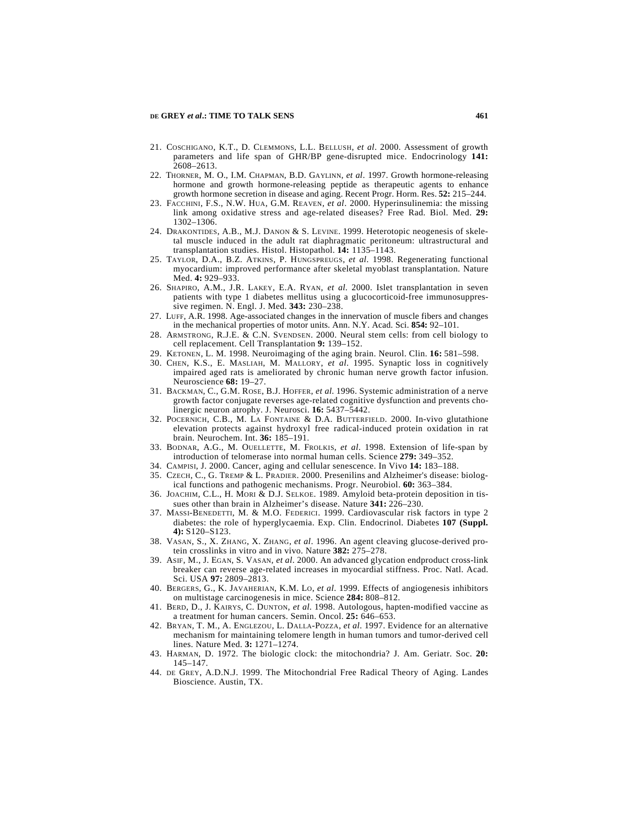- 21. COSCHIGANO, K.T., D. CLEMMONS, L.L. BELLUSH, *et al*. 2000. Assessment of growth parameters and life span of GHR/BP gene-disrupted mice. Endocrinology **141:** 2608–2613.
- 22. THORNER, M. O., I.M. CHAPMAN, B.D. GAYLINN, *et al*. 1997. Growth hormone-releasing hormone and growth hormone-releasing peptide as therapeutic agents to enhance growth hormone secretion in disease and aging. Recent Progr. Horm. Res. **52:** 215–244.
- 23. FACCHINI, F.S., N.W. HUA, G.M. REAVEN, *et al*. 2000. Hyperinsulinemia: the missing link among oxidative stress and age-related diseases? Free Rad. Biol. Med. **29:** 1302–1306.
- 24. DRAKONTIDES, A.B., M.J. DANON & S. LEVINE. 1999. Heterotopic neogenesis of skeletal muscle induced in the adult rat diaphragmatic peritoneum: ultrastructural and transplantation studies. Histol. Histopathol. **14:** 1135–1143.
- 25. TAYLOR, D.A., B.Z. ATKINS, P. HUNGSPREUGS, *et al*. 1998. Regenerating functional myocardium: improved performance after skeletal myoblast transplantation. Nature Med. **4:** 929–933.
- 26. SHAPIRO, A.M., J.R. LAKEY, E.A. RYAN, *et al*. 2000. Islet transplantation in seven patients with type 1 diabetes mellitus using a glucocorticoid-free immunosuppressive regimen. N. Engl. J. Med. **343:** 230–238.
- 27. LUFF, A.R. 1998. Age-associated changes in the innervation of muscle fibers and changes in the mechanical properties of motor units. Ann. N.Y. Acad. Sci. **854:** 92–101.
- 28. ARMSTRONG, R.J.E. & C.N. SVENDSEN. 2000. Neural stem cells: from cell biology to cell replacement. Cell Transplantation **9:** 139–152.
- 29. KETONEN, L. M. 1998. Neuroimaging of the aging brain. Neurol. Clin. **16:** 581–598.
- 30. CHEN, K.S., E. MASLIAH, M. MALLORY, *et al*. 1995. Synaptic loss in cognitively impaired aged rats is ameliorated by chronic human nerve growth factor infusion. Neuroscience **68:** 19–27.
- 31. BACKMAN, C., G.M. ROSE, B.J. HOFFER, *et al*. 1996. Systemic administration of a nerve growth factor conjugate reverses age-related cognitive dysfunction and prevents cholinergic neuron atrophy. J. Neurosci. **16:** 5437–5442.
- 32. POCERNICH, C.B., M. LA FONTAINE & D.A. BUTTERFIELD. 2000. In-vivo glutathione elevation protects against hydroxyl free radical-induced protein oxidation in rat brain. Neurochem. Int. **36:** 185–191.
- 33. BODNAR, A.G., M. OUELLETTE, M. FROLKIS, *et al*. 1998. Extension of life-span by introduction of telomerase into normal human cells. Science **279:** 349–352.
- 34. CAMPISI, J. 2000. Cancer, aging and cellular senescence. In Vivo **14:** 183–188.
- 35. CZECH, C., G. TREMP & L. PRADIER. 2000. Presenilins and Alzheimer's disease: biological functions and pathogenic mechanisms. Progr. Neurobiol. **60:** 363–384.
- 36. JOACHIM, C.L., H. MORI & D.J. SELKOE. 1989. Amyloid beta-protein deposition in tissues other than brain in Alzheimer's disease. Nature **341:** 226–230.
- 37. MASSI-BENEDETTI, M. & M.O. FEDERICI. 1999. Cardiovascular risk factors in type 2 diabetes: the role of hyperglycaemia. Exp. Clin. Endocrinol. Diabetes **107 (Suppl. 4):** S120–S123.
- 38. VASAN, S., X. ZHANG, X. ZHANG, *et al*. 1996. An agent cleaving glucose-derived protein crosslinks in vitro and in vivo. Nature **382:** 275–278.
- 39. ASIF, M., J. EGAN, S. VASAN, *et al*. 2000. An advanced glycation endproduct cross-link breaker can reverse age-related increases in myocardial stiffness. Proc. Natl. Acad. Sci. USA **97:** 2809–2813.
- 40. BERGERS, G., K. JAVAHERIAN, K.M. LO, *et al*. 1999. Effects of angiogenesis inhibitors on multistage carcinogenesis in mice. Science **284:** 808–812.
- 41. BERD, D., J. KAIRYS, C. DUNTON, *et al*. 1998. Autologous, hapten-modified vaccine as a treatment for human cancers. Semin. Oncol. **25:** 646–653.
- 42. BRYAN, T. M., A. ENGLEZOU, L. DALLA-POZZA, *et al*. 1997. Evidence for an alternative mechanism for maintaining telomere length in human tumors and tumor-derived cell lines. Nature Med. **3:** 1271–1274.
- 43. HARMAN, D. 1972. The biologic clock: the mitochondria? J. Am. Geriatr. Soc. **20:** 145–147.
- 44. DE GREY, A.D.N.J. 1999. The Mitochondrial Free Radical Theory of Aging. Landes Bioscience. Austin, TX.